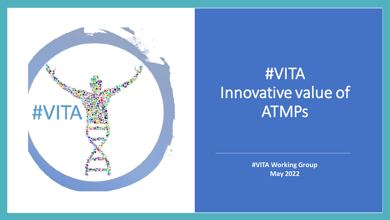

# #VITA Innovative value of ATMPs

**#VITA Working Group May 2022**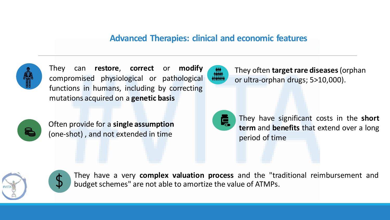### **Advanced Therapies: clinical and economic features**



They can **restore**, **correct** or **modify** compromised physiological or pathological functions in humans, including by correcting mutations acquired on a **genetic basis**



Often provide for a **single assumption**  (one-shot) , and not extended in time

They often **target rare diseases** (orphan or ultra-orphan drugs; 5>10,000).



They have significant costs in the **short term** and **benefits** that extend over a long period of time



They have a very **complex valuation process** and the "traditional reimbursement and budget schemes" are not able to amortize the value of ATMPs.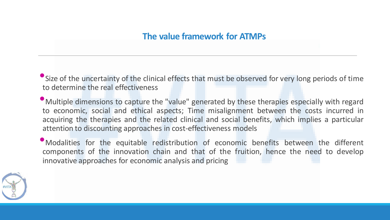•Size of the uncertainty of the clinical effects that must be observed for very long periods of time to determine the real effectiveness

•Multiple dimensions to capture the "value" generated by these therapies especially with regard to economic, social and ethical aspects; Time misalignment between the costs incurred in acquiring the therapies and the related clinical and social benefits, which implies a particular attention to discounting approaches in cost-effectiveness models

•Modalities for the equitable redistribution of economic benefits between the different components of the innovation chain and that of the fruition, hence the need to develop innovative approaches for economic analysis and pricing

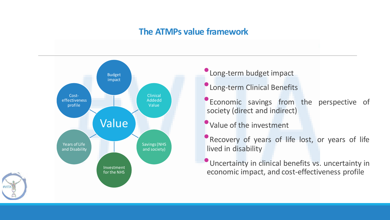### **The ATMPs value framework**



- •Long-term budget impact
- •Long-term Clinical Benefits
- **Economic savings from the perspective of** society (direct and indirect)
- •Value of the investment
- **•Recovery of years of life lost, or years of life** lived in disability
- **Uncertainty in clinical benefits vs. uncertainty in** economic impact, and cost-effectiveness profile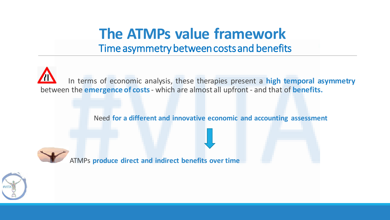## **The ATMPs value framework**  Time asymmetry between costs and benefits

In terms of economic analysis, these therapies present a **high temporal asymmetry** between the **emergence of costs**- which are almost all upfront - and that of **benefits.**

Need **for a different and innovative economic and accounting assessment**



ATMPs **produce direct and indirect benefits over time**

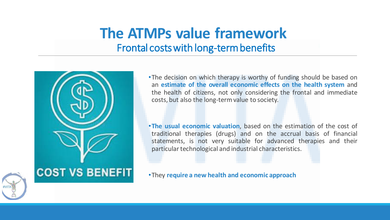## **The ATMPs value framework**  Frontal costs with long-term benefits



•The decision on which therapy is worthy of funding should be based on an **estimate of the overall economic effects on the health system** and the health of citizens, not only considering the frontal and immediate costs, but also the long-termvalue to society.

•**The usual economic valuation**, based on the estimation of the cost of traditional therapies (drugs) and on the accrual basis of financial statements, is not very suitable for advanced therapies and their particular technological and industrial characteristics.

•They **require a new health and economic approach**

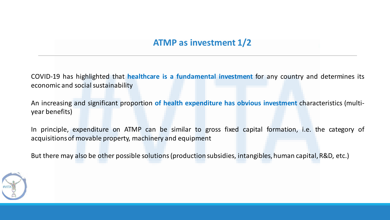### **ATMP as investment 1/2**

COVID-19 has highlighted that **healthcare is a fundamental investment** for any country and determines its economic and social sustainability

An increasing and significant proportion **of health expenditure has obvious investment** characteristics (multiyear benefits)

In principle, expenditure on ATMP can be similar to gross fixed capital formation, i.e. the category of acquisitionsof movable property, machinery and equipment

But there may also be other possible solutions(production subsidies, intangibles, human capital,R&D, etc.)

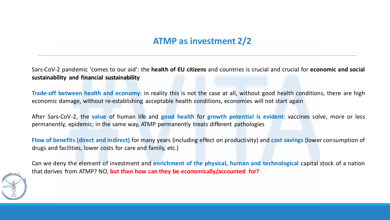### **ATMP as investment 2/2**

Sars-CoV-2 pandemic 'comes to our aid': the **health of EU citizens** and countries is crucial and crucial for **economic and social sustainability and financial sustainability**

**Trade-off between health and economy**: in reality this is not the case at all, without good health conditions, there are high economic damage, without re-establishing acceptable health conditions, economies will not start again

After Sars-CoV-2, the **value** of human life and **good health** for **growth potential is evident**: vaccines solve, more or less permanently, epidemic; in the same way, ATMP permanently treats different pathologies

**Flow of benefits (direct and indirect)** for many years (including effect on productivity) and **cost savings** (lower consumption of drugs and facilities, lower costs for care and family, etc.)

Can we deny the element of investment and **enrichment of the physical, human and technological** capital stock of a nation that derives from ATMP? NO, **but then how can they be economically/accounted for?**

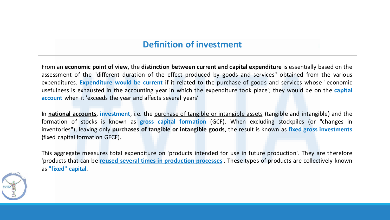### **Definition of investment**

From an **economic point of view**, the **distinction between current and capital expenditure** is essentially based on the assessment of the "different duration of the effect produced by goods and services" obtained from the various expenditures. **Expenditure would be current** if it related to the purchase of goods and services whose "economic usefulness is exhausted in the accounting year in which the expenditure took place'; they would be on the **capital account** when it 'exceeds the year and affects several years'

In **national accounts**, **investment**, i.e. the purchase of tangible or intangible assets (tangible and intangible) and the formation of stocks is known as **gross capital formation** (GCF). When excluding stockpiles (or "changes in inventories"), leaving only **purchases of tangible or intangible goods**, the result is known as **fixed gross investments** (fixed capital formation GFCF).

This aggregate measures total expenditure on 'products intended for use in future production'. They are therefore 'products that can be **reused several times in production processes**'. These types of products are collectively known as **"fixed" capital**.

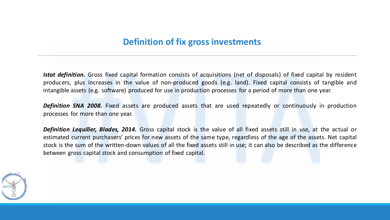### **Definition of fix gross investments**

*Istat definition.* Gross fixed capital formation consists of acquisitions (net of disposals) of fixed capital by resident producers, plus increases in the value of non-produced goods (e.g. land). Fixed capital consists of tangible and intangible assets (e.g. software) produced for use in production processes for a period of more than one year.

*Definition SNA 2008.* Fixed assets are produced assets that are used repeatedly or continuously in production processes for more than one year.

*Definition Lequiller, Blades, 2014.* Gross capital stock is the value of all fixed assets still in use, at the actual or estimated current purchasers' prices for new assets of the same type, regardless of the age of the assets. Net capital stock is the sum of the written-down values of all the fixed assets still in use; it can also be described as the difference between gross capital stock and consumption of fixed capital.

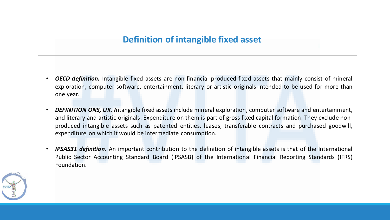### **Definition of intangible fixed asset**

- *OECD definition.* Intangible fixed assets are non-financial produced fixed assets that mainly consist of mineral exploration, computer software, entertainment, literary or artistic originals intended to be used for more than one year.
- *DEFINITION ONS, UK. I*ntangible fixed assets include mineral exploration, computer software and entertainment, and literary and artistic originals. Expenditure on them is part of gross fixed capital formation. They exclude nonproduced intangible assets such as patented entities, leases, transferable contracts and purchased goodwill, expenditure on which it would be intermediate consumption.
- *IPSAS31 definition.* An important contribution to the definition of intangible assets is that of the International Public Sector Accounting Standard Board (IPSASB) of the International Financial Reporting Standards (IFRS) Foundation.

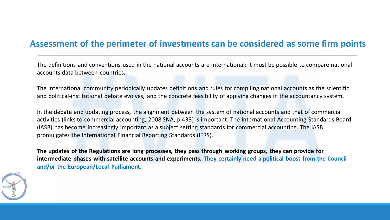### **Assessment of the perimeter of investments can be considered as some firm points**

The definitions and conventions used in the national accounts are international: it must be possible to compare national accounts data between countries.

The international community periodically updates definitions and rules for compiling national accounts as the scientific and political-institutional debate evolves, and the concrete feasibility of applying changes in the accountancy system.

In the debate and updating process, the alignment between the system of national accounts and that of commercial activities (links to commercial accounting, 2008 SNA, p.433) is important. The International Accounting Standards Board (IASB) has become increasingly important as a subject setting standards for commercial accounting. The IASB promulgates the International Financial Reporting Standards (IFRS).

**The updates of the Regulations are long processes, they pass through working groups, they can provide for intermediate phases with satellite accounts and experiments. They certainly need a political boost from the Council and/or the European/Local Parliament.**

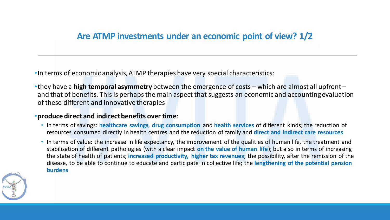### **Are ATMP investments under an economic point of view? 1/2**

•In terms of economic analysis, ATMP therapies have very special characteristics:

•they have a **high temporal asymmetry** between the emergence of costs – which are almost all upfront – and that of benefits. This is perhaps the main aspect that suggests an economic and accounting evaluation of these different and innovative therapies

#### •**produce direct and indirect benefits over time**:

- In terms of savings: **healthcare savings**, **drug consumption** and **health services** of different kinds; the reduction of resources consumed directly in health centres and the reduction of family and **direct and indirect care resources**
- In terms of value: the increase in life expectancy, the improvement of the qualities of human life, the treatment and stabilisation of different pathologies (with a clear impact **on the value of human life**); but also in terms of increasing the state of health of patients; **increased productivity, higher tax revenues**; the possibility, after the remission of the disease, to be able to continue to educate and participate in collective life; the **lengthening of the potential pension burdens**

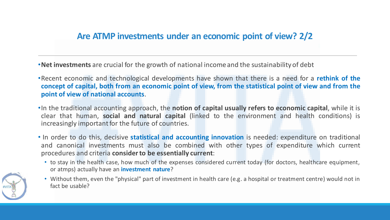•**Net investments** are crucial for the growth of national income and the sustainability of debt

- •Recent economic and technological developments have shown that there is a need for a **rethink of the** concept of capital, both from an economic point of view, from the statistical point of view and from the **point of view of national accounts**.
- •In the traditional accounting approach, the **notion of capital usually refers to economic capital**, while it is clear that human, **social and natural capital** (linked to the environment and health conditions) is increasingly important for the future of countries.
- In order to do this, decisive **statistical and accounting innovation** is needed: expenditure on traditional and canonical investments must also be combined with other types of expenditure which current procedures and criteria **considerto be essentially current**:
	- to stay in the health case, how much of the expenses considered current today (for doctors, healthcare equipment, or atmps) actually have an **investment nature**?



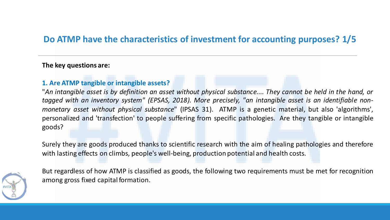### **Do ATMP have the characteristics of investment for accounting purposes? 1/5**

#### **The key questions are:**

#### **1. Are ATMP tangible or intangible assets?**

"An intangible asset is by definition an asset without physical substance.... They cannot be held in the hand, or *tagged with an inventory system" (EPSAS, 2018). More precisely, "an intangible asset is an identifiable nonmonetary asset without physical substance*" (IPSAS 31). ATMP is a genetic material, but also 'algorithms', personalized and 'transfection' to people suffering from specific pathologies. Are they tangible or intangible goods?

Surely they are goods produced thanks to scientific research with the aim of healing pathologies and therefore with lasting effects on climbs, people's well-being, production potential and health costs.



But regardless of how ATMP is classified as goods, the following two requirements must be met for recognition among gross fixed capital formation.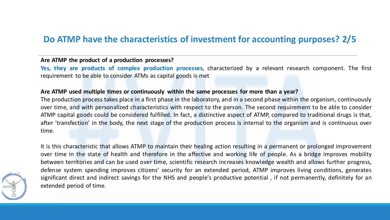### **Do ATMP have the characteristics of investment for accounting purposes? 2/5**

#### **Are ATMP the product of a production processes?**

**Yes, they are products of complex production processes**, characterized by a relevant research component. The first requirement to be able to consider ATMs as capital goods is met

#### **Are ATMP used multiple times or continuously within the same processes for more than a year?**

The production process takes place in a first phase in the laboratory, and in a second phase within the organism, continuously over time, and with personalized characteristics with respect to the person. The second requirement to be able to consider ATMP capital goods could be considered fulfilled. In fact, a distinctive aspect of ATMP, compared to traditional drugs is that, after 'transfection' in the body, the next stage of the production process is internal to the organism and is continuous over time.

It is this characteristic that allows ATMP to maintain their healing action resulting in a permanent or prolonged improvement over time in the state of health and therefore in the affective and working life of people. As a bridge improves mobility between territories and can be used over time, scientific research increases knowledge wealth and allows further progress, defense system spending improves citizens' security for an extended period, ATMP improves living conditions, generates significant direct and indirect savings for the NHS and people's productive potential , if not permanently, definitely for an extended period of time.

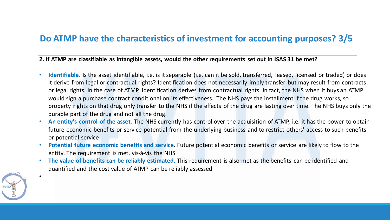### **Do ATMP have the characteristics of investment for accounting purposes? 3/5**

**2. If ATMP are classifiable as intangible assets, would the other requirements set out in ISAS 31 be met?**

- **Identifiable.** Is the asset identifiable, i.e. is it separable (i.e. can it be sold, transferred, leased, licensed or traded) or does it derive from legal or contractual rights? Identification does not necessarily imply transfer but may result from contracts or legal rights. In the case of ATMP, identification derives from contractual rights. In fact, the NHS when it buys an ATMP would sign a purchase contract conditional on its effectiveness. The NHS pays the installment if the drug works, so property rights on that drug only transfer to the NHS if the effects of the drug are lasting over time. The NHS buys only the durable part of the drug and not all the drug.
- **An entity's control of the asset**. The NHS currently has control over the acquisition of ATMP, i.e. it has the power to obtain future economic benefits or service potential from the underlying business and to restrict others' access to such benefits or potential service
- **Potential future economic benefits and service**. Future potential economic benefits or service are likely to flow to the entity. The requirement is met, vis-à-vis the NHS
- **The value of benefits can be reliably estimated.** This requirement is also met as the benefits can be identified and quantified and the cost value of ATMP can be reliably assessed



•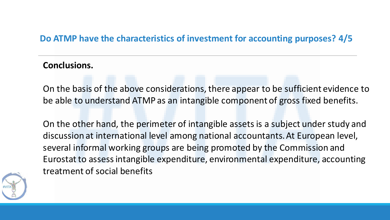### **Do ATMP have the characteristics of investment for accounting purposes? 4/5**

### **Conclusions.**

On the basis of the above considerations, there appear to be sufficient evidence to be able to understand ATMP as an intangible component of gross fixed benefits.

On the other hand, the perimeter of intangible assets is a subject under study and discussion at international level among national accountants. At European level, several informal working groups are being promoted by the Commission and Eurostat to assess intangible expenditure, environmental expenditure, accounting treatment of social benefits

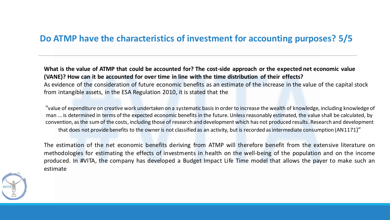### **Do ATMP have the characteristics of investment for accounting purposes? 5/5**

**What is the value of ATMP that could be accounted for? The cost-side approach or the expected net economic value (VANE)? How can it be accounted for over time in line with the time distribution of their effects?** As evidence of the consideration of future economic benefits as an estimate of the increase in the value of the capital stock from intangible assets, in the ESA Regulation 2010, it is stated that the

"value of expenditure on creative work undertaken on a systematic basis in order to increase the wealth of knowledge, including knowledge of man ... is determined in terms of the expected economic benefits in the future. Unless reasonably estimated, the value shall be calculated, by convention, as the sum of the costs, including those of research and development which has not produced results. Research and development that does not provide benefits to the owner is not classified as an activity, but is recorded as intermediate consumption (AN1171)"

The estimation of the net economic benefits deriving from ATMP will therefore benefit from the extensive literature on methodologies for estimating the effects of investments in health on the well-being of the population and on the income produced. In #VITA, the company has developed a Budget Impact Life Time model that allows the payer to make such an estimate

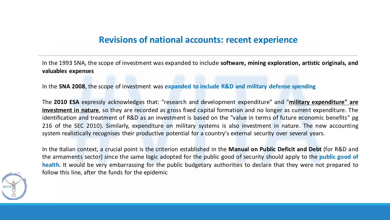### **Revisions of national accounts: recent experience**

In the 1993 SNA, the scope of investment was expanded to include **software, mining exploration, artistic originals, and valuables expenses**

In the **SNA 2008**, the scope of investment was **expanded to include R&D and military defense spending**

The **2010 ESA** expressly acknowledges that: "research and development expenditure" and "**military expenditure" are investment in nature**, so they are recorded as gross fixed capital formation and no longer as current expenditure. The identification and treatment of R&D as an investment is based on the "value in terms of future economic benefits" pg 216 of the SEC 2010). Similarly, expenditure on military systems is also investment in nature. The new accounting system realistically recognises their productive potential for a country's external security over several years.

In the Italian context, a crucial point is the criterion established in the **Manual on Public Deficit and Debt** (for R&D and the armaments sector) since the same logic adopted for the public good of security should apply to the **public good of health**. It would be very embarrassing for the public budgetary authorities to declare that they were not prepared to follow this line, after the funds for the epidemic

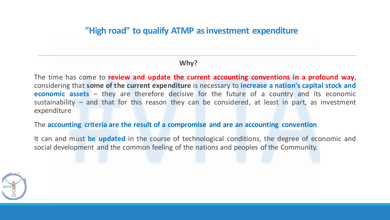### **"High road" to qualify ATMP as investment expenditure**

#### **Why?**

The time has come to **review and update the current accounting conventions in a profound way**, considering that **some of the current expenditure** is necessary to **increase a nation's capital stock and economic assets** – they are therefore decisive for the future of a country and its economic sustainability – and that for this reason they can be considered, at least in part, as investment expenditure

#### The **accounting criteria are the result of a compromise and are an accounting convention**

It can and must **be updated** in the course of technological conditions, the degree of economic and social development and the common feeling of the nations and peoples of the Community.

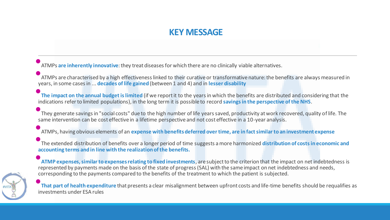### **KEY MESSAGE**

• ATMPs **are inherently innovative**: they treat diseases for which there are no clinically viable alternatives.

• ATMPs are characterised by a high effectiveness linked to their curative or transformative nature: the benefits are always measured in years, in some cases in ... **decades of life gained** (between 1 and 4) and in **lesser disability**

•**The impact on the annual budget is limited** (if we report it to the years in which the benefits are distributed and considering that the indications refer to limited populations), in the long term it is possible to record **savings in the perspective of the NHS**.

•They generate savings in "social costs" due to the high number of life years saved, productivity at work recovered, quality of life. The same intervention can be cost effective in a lifetime perspective and not cost effective in a 10-year analysis.

•ATMPs, having obvious elements of an **expense with benefits deferred over time, are in fact similar to an investment expense**

•The extended distribution of benefits over a longer period of time suggests a more harmonized **distribution of costs in economic and accounting terms and in line with the realization of the benefits.**

•**ATMP expenses, similar to expenses relating to fixed investments**, are subject to the criterion that the impact on net indebtedness is represented by payments made on the basis of the state of progress (SAL) with the same impact on net indebtedness and needs, corresponding to the payments compared to the benefits of the treatment to which the patient is subjected.

•**That part of health expenditure** that presents a clear misalignment between upfront costs and life-time benefits should be requalifies as investments under ESA rules